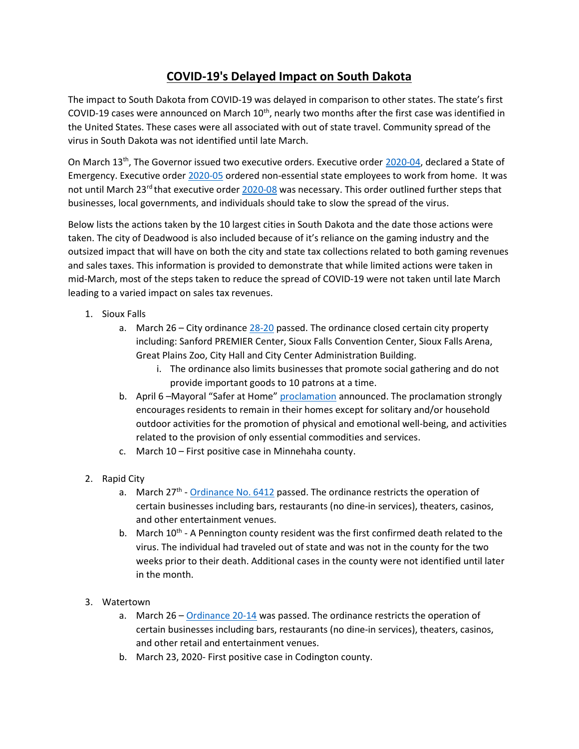## COVID-19's Delayed Impact on South Dakota

The impact to South Dakota from COVID-19 was delayed in comparison to other states. The state's first COVID-19 cases were announced on March  $10<sup>th</sup>$ , nearly two months after the first case was identified in the United States. These cases were all associated with out of state travel. Community spread of the virus in South Dakota was not identified until late March.

On March 13th, The Governor issued two executive orders. Executive order 2020-04, declared a State of Emergency. Executive order 2020-05 ordered non-essential state employees to work from home. It was not until March 23<sup>rd</sup> that executive order 2020-08 was necessary. This order outlined further steps that businesses, local governments, and individuals should take to slow the spread of the virus.

Below lists the actions taken by the 10 largest cities in South Dakota and the date those actions were taken. The city of Deadwood is also included because of it's reliance on the gaming industry and the outsized impact that will have on both the city and state tax collections related to both gaming revenues and sales taxes. This information is provided to demonstrate that while limited actions were taken in mid-March, most of the steps taken to reduce the spread of COVID-19 were not taken until late March leading to a varied impact on sales tax revenues.

- 1. Sioux Falls
	- a. March  $26 -$  City ordinance  $28 20$  passed. The ordinance closed certain city property including: Sanford PREMIER Center, Sioux Falls Convention Center, Sioux Falls Arena, Great Plains Zoo, City Hall and City Center Administration Building.
		- i. The ordinance also limits businesses that promote social gathering and do not provide important goods to 10 patrons at a time.
	- b. April 6 –Mayoral "Safer at Home" proclamation announced. The proclamation strongly encourages residents to remain in their homes except for solitary and/or household outdoor activities for the promotion of physical and emotional well-being, and activities related to the provision of only essential commodities and services.
	- c. March 10 First positive case in Minnehaha county.
- 2. Rapid City
	- a. March 27<sup>th</sup> Ordinance No. 6412 passed. The ordinance restricts the operation of certain businesses including bars, restaurants (no dine-in services), theaters, casinos, and other entertainment venues.
	- b. March  $10^{th}$  A Pennington county resident was the first confirmed death related to the virus. The individual had traveled out of state and was not in the county for the two weeks prior to their death. Additional cases in the county were not identified until later in the month.
- 3. Watertown
	- a. March 26 Ordinance 20-14 was passed. The ordinance restricts the operation of certain businesses including bars, restaurants (no dine-in services), theaters, casinos, and other retail and entertainment venues.
	- b. March 23, 2020- First positive case in Codington county.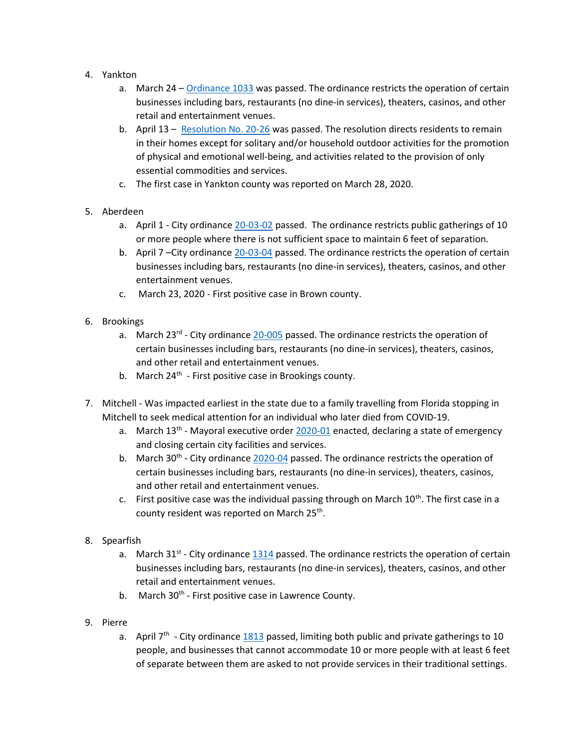- 4. Yankton
	- a. March 24 Ordinance 1033 was passed. The ordinance restricts the operation of certain businesses including bars, restaurants (no dine-in services), theaters, casinos, and other retail and entertainment venues.
	- b. April 13 Resolution No. 20-26 was passed. The resolution directs residents to remain in their homes except for solitary and/or household outdoor activities for the promotion of physical and emotional well-being, and activities related to the provision of only essential commodities and services.
	- c. The first case in Yankton county was reported on March 28, 2020.
- 5. Aberdeen
	- a. April 1 City ordinance 20-03-02 passed. The ordinance restricts public gatherings of 10 or more people where there is not sufficient space to maintain 6 feet of separation.
	- b. April 7 –City ordinance 20-03-04 passed. The ordinance restricts the operation of certain businesses including bars, restaurants (no dine-in services), theaters, casinos, and other entertainment venues.
	- c. March 23, 2020 First positive case in Brown county.
- 6. Brookings
	- a. March 23 $^{rd}$  City ordinance 20-005 passed. The ordinance restricts the operation of certain businesses including bars, restaurants (no dine-in services), theaters, casinos, and other retail and entertainment venues.
	- b. March  $24<sup>th</sup>$  First positive case in Brookings county.
- 7. Mitchell Was impacted earliest in the state due to a family travelling from Florida stopping in Mitchell to seek medical attention for an individual who later died from COVID-19.
	- a. March  $13<sup>th</sup>$  Mayoral executive order 2020-01 enacted, declaring a state of emergency and closing certain city facilities and services.
	- b. March  $30^{th}$  City ordinance 2020-04 passed. The ordinance restricts the operation of certain businesses including bars, restaurants (no dine-in services), theaters, casinos, and other retail and entertainment venues.
	- c. First positive case was the individual passing through on March  $10<sup>th</sup>$ . The first case in a county resident was reported on March 25<sup>th</sup>.
- 8. Spearfish
	- a. March 31<sup>st</sup> City ordinance  $1314$  passed. The ordinance restricts the operation of certain businesses including bars, restaurants (no dine-in services), theaters, casinos, and other retail and entertainment venues.
	- b. March 30<sup>th</sup> First positive case in Lawrence County.
- 9. Pierre
	- a. April  $7<sup>th</sup>$  City ordinance 1813 passed, limiting both public and private gatherings to 10 people, and businesses that cannot accommodate 10 or more people with at least 6 feet of separate between them are asked to not provide services in their traditional settings.